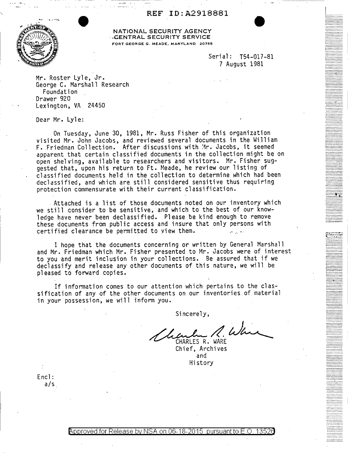REF ID:A291BBB1



NATIONAL SECURITY AGENCY ·.CENTRAL SECURITY SERVICE FORT GEORGE G. MEADE, MARYLAND 20755

> Serial: T54-017-81 7 August 1981

 $\lfloor$ 1................

Mr. Roster Lyle, Jr. George C. Marshall Research Foundation Drawer 920 Lexington, VA 24450

Dear Mr. Lyle:

On Tuesday, June 30, 1981, Mr. Russ Fisher of this organization visited Mr. John Jacobs, and reviewed several documents in the William F. Friedman Collection. After discussions with Mr. Jacobs, it seemed apparent that certain classified documents in the collection might be on open shelving, available to researchers and visitors. Mr. Fisher suggested that, upon his return to Ft. Meade, he review our listing of classified documents held in the collection to determine which had been declassified, and which are still considered sensitive thus requiring protection commensurate with their current classification •

. Attached is a list of those documents noted on our inventory which we still consider to be sensitive, and which to the best of our knowledge have never been declassified. Please be kind enough to remove these documents from public access and insure that only persons with certified clearance be permitted to view them.

I hope that the documents concerning or written by General Marshall and Mr. Friedman which Mr. Fisher presented to Mr. Jacobs were of interest to you and merit inclusion in your collections. Be assured that if we declassify and release any other documents of this nature, we will be pleased to forward copies.

If information comes to our attention which pertains to the classification of any of the other documents on our inventories of material in your possession, we will inform you.

Sincerely,

Leaden 2. Wh

and Hi story

Encl: a/s

<code>Approved</code> for Release by NSA on 06-18-2015 <code>pursuant</code> to E.O.  $\,$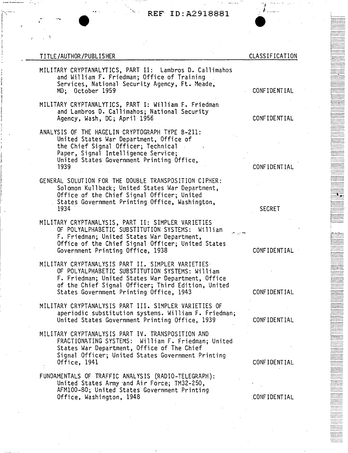# ·. • **REF** ID:A2918881

#### TITLE/AUTHOR/PUBLISHER

 $\mathbb{R}^{N-1}$  . I

 $\mathbf{I}$ 

- MILITARY CRYPTANALYTICS, PART II: Lambros D. Callimahos and William F. Friedman; Office of Training<br>Services, National Security Agency, Ft. Meade, MD; October 1959
- MILITARY CRYPTANALYTICS, PART I: William F. Friedman and Lambros D. Callimahos; National Security Agency, Wash, DC; April 1956
- ANALYSIS OF THE HAGELIN CRYPTOGRAPH TYPE B-211: United States War Department, Office of the Chief Signal Officer; Technical Paper, Signal Intelligence Service; United States Government Printing Office, 1939
- GENERAL SOLUTION FOR THE DOUBLE TRANSPOSITION CIPHER: Solomon Kullback; United States War Department, Office of the Chief Signal Officer; United States Government Printing Office, Washington, 1934
- MILITARY CRYPTANALYSIS, PART II: SIMPLER VARIETIES. OF POLYALPHABETIC SUBSTITUTION SYSTEMS: William<br>F. Friedman; United States War Department, Office of the Chief Signal Officer; United States Government Printing Office, 1938
- MILITARY CRYPTANALYSIS PART II. SIMPLER VARIETIES OF POLYALPMABETIC SUBSTITUTION SYSTEMS: William F. Friedman; United States War Department, Office of the Chief Signal Officer; Third Edition, United States Government Printing Office, 1943
- MILITARY CRYPTANALYSIS PART III. SIMPLER VARIETIES OF aperiodic substitution systems. William F. Friedman; United States Government Printing Office, 1939
- MILITARY CRYPTANALYSIS PART IV. TRANSPOSITION AND FRACTIONATING SYSTEMS: William F. Friedman; United States War Department, Office of The Chief Signal Officer; United States Government Printing Office, 1941
- FUNDAMENTALS OF TRAFFIC ANALYSIS (RADIO-TELEGRAPH): United States Army ·and Air Force; TM32-250, AFM100-80; United States Government Printing<br>Office, Washington, 1948

#### CONFIDENTIAL

CLASSIFICATION

t •..•....•..

::::::::::::.

*:·:::::::::::.* 

::::::::::::

............. *..***...........** 

~::::::::::

**b.........** 1--·--······ ; .......... .

!:::::::::: \::::::::::·

*J*  . . /: ... ·---·

#### CONFIDENTIAL

CONFIDENTIAL

SECRET

 $\mathcal{F} \rightarrow \mathcal{F}$ 

CONFIDENTIAL

CONFIDENTIAL

CONFIDENTIAL

CONFIDENTIAL

.CONFIDENTIAL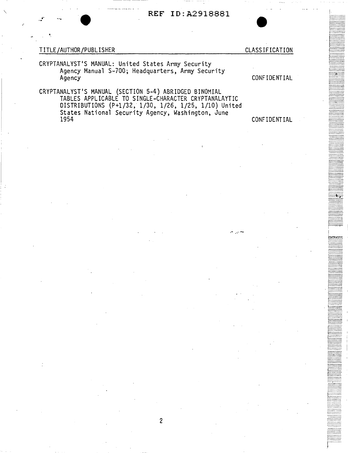## REF ID: A2918881

### TITLE/AUTHOR/PUBLISHER

**CLASSIFICATION** 

CONFIDENTIAL

CRYPTANALYST'S MANUAL: United States Army Security Agency Manual S-700; Headquarters, Army Security Agency

CRYPTANALYST'S MANUAL (SECTION 5-4) ABRIDGED BINOMIAL TABLES APPLICABLE TO SINGLE-CHARACTER CRYPTANALAYTIC DISTRIBUTIONS (P+1/32, 1/30, 1/26, 1/25, 1/10) United<br>States National Security Agency, Washington, June 1954

# CONFIDENTIAL